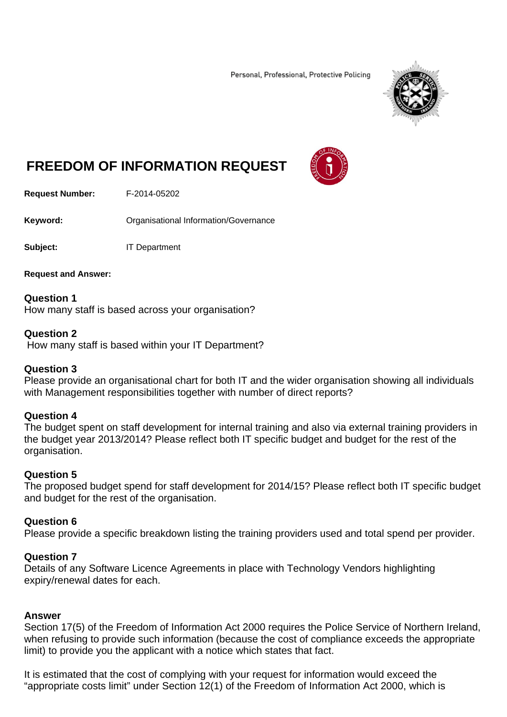Personal, Professional, Protective Policing



# **FREEDOM OF INFORMATION REQUEST**



**Request Number:** F-2014-05202

**Keyword: C**rganisational Information/Governance

**Subject:** IT Department

**Request and Answer:** 

**Question 1**  How many staff is based across your organisation?

#### **Question 2**

How many staff is based within your IT Department?

## **Question 3**

Please provide an organisational chart for both IT and the wider organisation showing all individuals with Management responsibilities together with number of direct reports?

## **Question 4**

The budget spent on staff development for internal training and also via external training providers in the budget year 2013/2014? Please reflect both IT specific budget and budget for the rest of the organisation.

## **Question 5**

The proposed budget spend for staff development for 2014/15? Please reflect both IT specific budget and budget for the rest of the organisation.

## **Question 6**

Please provide a specific breakdown listing the training providers used and total spend per provider.

## **Question 7**

Details of any Software Licence Agreements in place with Technology Vendors highlighting expiry/renewal dates for each.

## **Answer**

Section 17(5) of the Freedom of Information Act 2000 requires the Police Service of Northern Ireland, when refusing to provide such information (because the cost of compliance exceeds the appropriate limit) to provide you the applicant with a notice which states that fact.

It is estimated that the cost of complying with your request for information would exceed the "appropriate costs limit" under Section 12(1) of the Freedom of Information Act 2000, which is